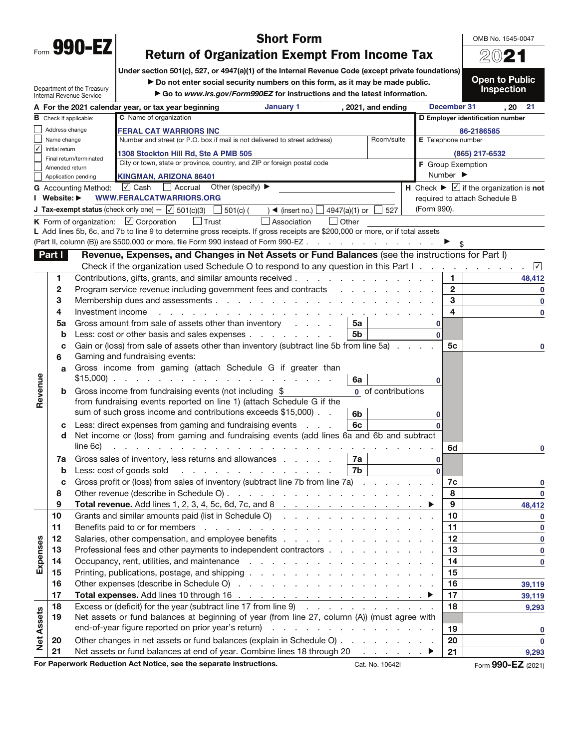OMB No. 1545-0047 20**21**

## **Short Form**<br>**Return of Organization Exempt From Income Tax**

**Return of Organization Exempt From Income Tax Under section 501(c), 527, or 4947(a)(1) of the Internal Revenue Code (except private foundations)**

▶ Do not enter social security numbers on this form, as it may be made public.

Department of the Treasury Internal Revenue Service

▶ Go to www.irs.gov/Form990EZ for instructions and the latest information.

**Open to Public Inspection** 

|                      |                               |                             | A For the 2021 calendar year, or tax year beginning<br>January 1<br>, 2021, and ending                                                                                                                                                                           |              | December 31                      | , 20<br>21                                                                                              |
|----------------------|-------------------------------|-----------------------------|------------------------------------------------------------------------------------------------------------------------------------------------------------------------------------------------------------------------------------------------------------------|--------------|----------------------------------|---------------------------------------------------------------------------------------------------------|
|                      | <b>B</b> Check if applicable: |                             | C Name of organization                                                                                                                                                                                                                                           |              | D Employer identification number |                                                                                                         |
|                      | Address change                |                             | <b>FERAL CAT WARRIORS INC</b>                                                                                                                                                                                                                                    |              | 86-2186585                       |                                                                                                         |
| Name change          |                               |                             | Room/suite<br>Number and street (or P.O. box if mail is not delivered to street address)                                                                                                                                                                         |              | E Telephone number               |                                                                                                         |
| $\blacktriangledown$ | Initial return                |                             | 1308 Stockton Hill Rd, Ste A PMB 505                                                                                                                                                                                                                             |              | (865) 217-6532                   |                                                                                                         |
|                      | Amended return                | Final return/terminated     | City or town, state or province, country, and ZIP or foreign postal code                                                                                                                                                                                         |              | F Group Exemption                |                                                                                                         |
|                      |                               | Application pending         | KINGMAN, ARIZONA 86401                                                                                                                                                                                                                                           |              | Number $\blacktriangleright$     |                                                                                                         |
|                      |                               | <b>G</b> Accounting Method: | √ Cash   Accrual Other (specify) ▶                                                                                                                                                                                                                               |              |                                  | $\overline{H}$ Check $\blacktriangleright \overline{\ulcorner\!\!\!\!\perp}$ if the organization is not |
|                      | I Website: ▶                  |                             | WWW.FERALCATWARRIORS.ORG                                                                                                                                                                                                                                         |              | required to attach Schedule B    |                                                                                                         |
|                      |                               |                             | <b>J Tax-exempt status</b> (check only one) - $\boxed{\checkmark}$ 501(c)(3) $\boxed{\phantom{0}}$ 501(c) (<br>) ◀ (insert no.) $\Box$ 4947(a)(1) or<br>527                                                                                                      | (Form 990).  |                                  |                                                                                                         |
|                      |                               |                             | K Form of organization: $\boxed{\checkmark}$ Corporation<br>$\Box$ Trust<br>Association<br>$\Box$ Other                                                                                                                                                          |              |                                  |                                                                                                         |
|                      |                               |                             | L Add lines 5b, 6c, and 7b to line 9 to determine gross receipts. If gross receipts are \$200,000 or more, or if total assets                                                                                                                                    |              |                                  |                                                                                                         |
|                      |                               |                             | (Part II, column (B)) are \$500,000 or more, file Form 990 instead of Form 990-EZ                                                                                                                                                                                |              |                                  |                                                                                                         |
|                      | Part I                        |                             | Revenue, Expenses, and Changes in Net Assets or Fund Balances (see the instructions for Part I)                                                                                                                                                                  |              |                                  |                                                                                                         |
|                      |                               |                             |                                                                                                                                                                                                                                                                  |              |                                  |                                                                                                         |
|                      | 1                             |                             | Contributions, gifts, grants, and similar amounts received                                                                                                                                                                                                       |              | 1                                | 48,412                                                                                                  |
|                      | 2                             |                             | Program service revenue including government fees and contracts                                                                                                                                                                                                  |              | $\mathbf{2}$                     | $\mathbf 0$                                                                                             |
|                      | 3                             |                             |                                                                                                                                                                                                                                                                  |              | 3                                | $\mathbf 0$                                                                                             |
|                      | 4                             | Investment income           | a construction of the construction of the construction of the construction of the construction of the construction of the construction of the construction of the construction of the construction of the construction of the                                    |              | 4                                | $\mathbf 0$                                                                                             |
|                      | 5a                            |                             | Gross amount from sale of assets other than inventory<br>5a                                                                                                                                                                                                      |              |                                  |                                                                                                         |
|                      | b                             |                             | Less: cost or other basis and sales expenses<br>5b                                                                                                                                                                                                               | $\Omega$     |                                  |                                                                                                         |
|                      | с                             |                             | Gain or (loss) from sale of assets other than inventory (subtract line 5b from line 5a).                                                                                                                                                                         |              | 5с                               |                                                                                                         |
|                      | 6                             |                             | Gaming and fundraising events:                                                                                                                                                                                                                                   |              |                                  |                                                                                                         |
|                      | a                             |                             | Gross income from gaming (attach Schedule G if greater than                                                                                                                                                                                                      |              |                                  |                                                                                                         |
|                      |                               |                             | $$15,000$<br>6a                                                                                                                                                                                                                                                  |              |                                  |                                                                                                         |
| Revenue              | b                             |                             | 0 of contributions<br>Gross income from fundraising events (not including \$                                                                                                                                                                                     |              |                                  |                                                                                                         |
|                      |                               |                             | from fundraising events reported on line 1) (attach Schedule G if the                                                                                                                                                                                            |              |                                  |                                                                                                         |
|                      |                               |                             | sum of such gross income and contributions exceeds \$15,000).<br>6b                                                                                                                                                                                              |              |                                  |                                                                                                         |
|                      | с                             |                             | 6c<br>Less: direct expenses from gaming and fundraising events                                                                                                                                                                                                   |              |                                  |                                                                                                         |
|                      | d                             |                             | Net income or (loss) from gaming and fundraising events (add lines 6a and 6b and subtract                                                                                                                                                                        |              |                                  |                                                                                                         |
|                      |                               | line 6c)                    | the contract of the contract of the contract of                                                                                                                                                                                                                  |              | 6d                               |                                                                                                         |
|                      | 7a                            |                             | Gross sales of inventory, less returns and allowances<br>7a                                                                                                                                                                                                      | 0            |                                  |                                                                                                         |
|                      | b                             |                             | 7b<br>Less: cost of goods sold<br>and the company of the company of the company of the company of the company of the company of the company of the company of the company of the company of the company of the company of the company of the company of the comp | $\mathbf{0}$ |                                  |                                                                                                         |
|                      | c                             |                             | Gross profit or (loss) from sales of inventory (subtract line 7b from line 7a)                                                                                                                                                                                   |              | 7c                               |                                                                                                         |
|                      | 8                             |                             |                                                                                                                                                                                                                                                                  |              | 8                                | $\mathbf 0$                                                                                             |
|                      | 9                             |                             |                                                                                                                                                                                                                                                                  |              | 9                                | 48,412                                                                                                  |
|                      | 10                            |                             | Grants and similar amounts paid (list in Schedule O)                                                                                                                                                                                                             |              | 10                               | $\mathbf 0$                                                                                             |
|                      | 11                            |                             |                                                                                                                                                                                                                                                                  |              | 11                               | 0                                                                                                       |
|                      | 12                            |                             |                                                                                                                                                                                                                                                                  |              | 12                               | $\mathbf 0$                                                                                             |
| Expenses             | 13                            |                             | Professional fees and other payments to independent contractors                                                                                                                                                                                                  |              | 13                               | $\bf{0}$                                                                                                |
|                      | 14                            |                             |                                                                                                                                                                                                                                                                  |              | 14                               | $\bf{0}$                                                                                                |
|                      | 15                            |                             |                                                                                                                                                                                                                                                                  |              | 15                               |                                                                                                         |
|                      | 16                            |                             |                                                                                                                                                                                                                                                                  |              | 16                               | 39,119                                                                                                  |
|                      | 17                            |                             |                                                                                                                                                                                                                                                                  |              | 17                               | 39,119                                                                                                  |
|                      | 18                            |                             | Excess or (deficit) for the year (subtract line 17 from line 9)                                                                                                                                                                                                  |              | 18                               | 9,293                                                                                                   |
|                      | 19                            |                             | Net assets or fund balances at beginning of year (from line 27, column (A)) (must agree with                                                                                                                                                                     |              |                                  |                                                                                                         |
|                      |                               |                             |                                                                                                                                                                                                                                                                  |              | 19                               | 0                                                                                                       |
| <b>Net Assets</b>    | 20                            |                             | Other changes in net assets or fund balances (explain in Schedule O)                                                                                                                                                                                             |              | 20                               | $\mathbf 0$                                                                                             |
|                      | 21                            |                             | Net assets or fund balances at end of year. Combine lines 18 through 20<br>$\ldots$ $\blacktriangleright$                                                                                                                                                        |              | 21                               | 9,293                                                                                                   |
|                      |                               |                             | For Paperwork Reduction Act Notice, see the separate instructions.<br>Cat. No. 10642I                                                                                                                                                                            |              |                                  | Form 990-EZ (2021)                                                                                      |
|                      |                               |                             |                                                                                                                                                                                                                                                                  |              |                                  |                                                                                                         |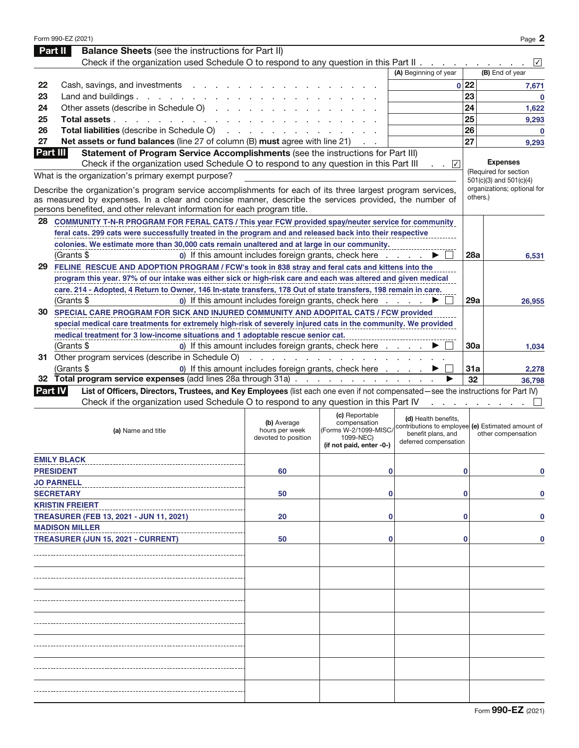|                | Form 990-EZ (2021)                                                                                                                                                                                                             |                                                                |                                       |                                                   |            | Page 2                                               |
|----------------|--------------------------------------------------------------------------------------------------------------------------------------------------------------------------------------------------------------------------------|----------------------------------------------------------------|---------------------------------------|---------------------------------------------------|------------|------------------------------------------------------|
|                | <b>Balance Sheets</b> (see the instructions for Part II)<br>Part II                                                                                                                                                            |                                                                |                                       |                                                   |            |                                                      |
|                | Check if the organization used Schedule O to respond to any question in this Part $\mathsf{II}$ .                                                                                                                              |                                                                |                                       |                                                   |            | $\mathcal V$                                         |
|                |                                                                                                                                                                                                                                |                                                                |                                       | (A) Beginning of year                             |            | (B) End of year                                      |
| 22             | Cash, savings, and investments                                                                                                                                                                                                 |                                                                |                                       |                                                   | 0 22       | 7,671                                                |
| 23             | Land and buildings.                                                                                                                                                                                                            |                                                                |                                       |                                                   | 23         | $\bf{0}$                                             |
| 24             | Other assets (describe in Schedule O)                                                                                                                                                                                          |                                                                |                                       |                                                   | 24         | 1,622                                                |
| 25             | Total assets                                                                                                                                                                                                                   |                                                                |                                       |                                                   | 25         | 9,293                                                |
| 26             | Total liabilities (describe in Schedule O) (example and a set of the set of the set of the set of the set of the set of the set of the set of the set of the set of the set of the set of the set of the set of the set of the |                                                                |                                       |                                                   | 26         | $\bf{0}$                                             |
| 27             | Net assets or fund balances (line 27 of column (B) must agree with line 21)                                                                                                                                                    |                                                                |                                       |                                                   | 27         | 9,293                                                |
| Part III       | Statement of Program Service Accomplishments (see the instructions for Part III)                                                                                                                                               |                                                                |                                       |                                                   |            |                                                      |
|                | Check if the organization used Schedule O to respond to any question in this Part III                                                                                                                                          |                                                                |                                       | $\sim$ $\sqrt{ }$                                 |            | <b>Expenses</b>                                      |
|                | What is the organization's primary exempt purpose?                                                                                                                                                                             |                                                                |                                       |                                                   |            | (Required for section<br>$501(c)(3)$ and $501(c)(4)$ |
|                | Describe the organization's program service accomplishments for each of its three largest program services,                                                                                                                    |                                                                |                                       |                                                   |            | organizations; optional for                          |
|                | as measured by expenses. In a clear and concise manner, describe the services provided, the number of                                                                                                                          |                                                                |                                       |                                                   |            | others.)                                             |
|                | persons benefited, and other relevant information for each program title.                                                                                                                                                      |                                                                |                                       |                                                   |            |                                                      |
| 28             | COMMUNITY T-N-R PROGRAM FOR FERAL CATS / This year FCW provided spay/neuter service for community                                                                                                                              |                                                                |                                       |                                                   |            |                                                      |
|                | feral cats. 299 cats were successfully treated in the program and and released back into their respective                                                                                                                      |                                                                |                                       |                                                   |            |                                                      |
|                | colonies. We estimate more than 30,000 cats remain unaltered and at large in our community.                                                                                                                                    |                                                                |                                       |                                                   |            |                                                      |
|                | (Grants \$                                                                                                                                                                                                                     | 0) If this amount includes foreign grants, check here $\ldots$ |                                       |                                                   | <b>28a</b> | 6,531                                                |
|                | 29 FELINE RESCUE AND ADOPTION PROGRAM / FCW's took in 838 stray and feral cats and kittens into the                                                                                                                            |                                                                |                                       |                                                   |            |                                                      |
|                | program this year. 97% of our intake was either sick or high-risk care and each was altered and given medical                                                                                                                  |                                                                |                                       |                                                   |            |                                                      |
|                | care. 214 - Adopted, 4 Return to Owner, 146 In-state transfers, 178 Out of state transfers, 198 remain in care.                                                                                                                |                                                                |                                       |                                                   |            |                                                      |
|                | (Grants \$                                                                                                                                                                                                                     | 0) If this amount includes foreign grants, check here          |                                       |                                                   | 29a        | 26,955                                               |
|                | 30 SPECIAL CARE PROGRAM FOR SICK AND INJURED COMMUNITY AND ADOPITAL CATS / FCW provided                                                                                                                                        |                                                                |                                       |                                                   |            |                                                      |
|                | special medical care treatments for extremely high-risk of severely injured cats in the community. We provided                                                                                                                 |                                                                |                                       |                                                   |            |                                                      |
|                | medical treatment for 3 low-income situations and 1 adoptable rescue senior cat.                                                                                                                                               |                                                                |                                       |                                                   |            |                                                      |
|                | (Grants \$                                                                                                                                                                                                                     | 0) If this amount includes foreign grants, check here          |                                       |                                                   | 30a        | 1,034                                                |
|                | 31 Other program services (describe in Schedule O)                                                                                                                                                                             |                                                                | .                                     |                                                   |            |                                                      |
|                | (Grants \$                                                                                                                                                                                                                     | 0) If this amount includes foreign grants, check here          |                                       |                                                   | 31a        | 2,278                                                |
|                | 32 Total program service expenses (add lines 28a through 31a)                                                                                                                                                                  |                                                                |                                       |                                                   | 32         | 36,798                                               |
| <b>Part IV</b> | List of Officers, Directors, Trustees, and Key Employees (list each one even if not compensated-see the instructions for Part IV)                                                                                              |                                                                |                                       |                                                   |            |                                                      |
|                | Check if the organization used Schedule O to respond to any question in this Part IV                                                                                                                                           |                                                                |                                       |                                                   |            |                                                      |
|                |                                                                                                                                                                                                                                |                                                                | (c) Reportable                        | (d) Health benefits,                              |            |                                                      |
|                | (a) Name and title                                                                                                                                                                                                             | (b) Average<br>hours per week                                  | compensation<br>(Forms W-2/1099-MISC/ | contributions to employee (e) Estimated amount of |            |                                                      |
|                |                                                                                                                                                                                                                                | devoted to position                                            | 1099-NEC)                             | benefit plans, and<br>deferred compensation       |            | other compensation                                   |
|                |                                                                                                                                                                                                                                |                                                                | (if not paid, enter -0-)              |                                                   |            |                                                      |
|                | <b>EMILY BLACK</b>                                                                                                                                                                                                             |                                                                |                                       |                                                   |            |                                                      |
|                | <b>PRESIDENT</b>                                                                                                                                                                                                               | 60                                                             | 0                                     |                                                   | 0          | 0                                                    |
|                | <b>JO PARNELL</b>                                                                                                                                                                                                              |                                                                |                                       |                                                   |            |                                                      |
|                | <b>SECRETARY</b>                                                                                                                                                                                                               | 50                                                             | 0                                     |                                                   | 0          | 0                                                    |
|                | <b>KRISTIN FREIERT</b>                                                                                                                                                                                                         |                                                                |                                       |                                                   |            |                                                      |
|                | TREASURER (FEB 13, 2021 - JUN 11, 2021)                                                                                                                                                                                        | 20                                                             | 0                                     |                                                   | 0          | 0                                                    |
|                | <b>MADISON MILLER</b>                                                                                                                                                                                                          |                                                                |                                       |                                                   |            |                                                      |
|                | TREASURER (JUN 15, 2021 - CURRENT)                                                                                                                                                                                             | 50                                                             | 0                                     |                                                   | 0          | 0                                                    |
|                |                                                                                                                                                                                                                                |                                                                |                                       |                                                   |            |                                                      |
|                |                                                                                                                                                                                                                                |                                                                |                                       |                                                   |            |                                                      |
|                |                                                                                                                                                                                                                                |                                                                |                                       |                                                   |            |                                                      |
|                |                                                                                                                                                                                                                                |                                                                |                                       |                                                   |            |                                                      |
|                |                                                                                                                                                                                                                                |                                                                |                                       |                                                   |            |                                                      |
|                |                                                                                                                                                                                                                                |                                                                |                                       |                                                   |            |                                                      |
|                |                                                                                                                                                                                                                                |                                                                |                                       |                                                   |            |                                                      |
|                |                                                                                                                                                                                                                                |                                                                |                                       |                                                   |            |                                                      |
|                |                                                                                                                                                                                                                                |                                                                |                                       |                                                   |            |                                                      |
|                |                                                                                                                                                                                                                                |                                                                |                                       |                                                   |            |                                                      |
|                |                                                                                                                                                                                                                                |                                                                |                                       |                                                   |            |                                                      |
|                |                                                                                                                                                                                                                                |                                                                |                                       |                                                   |            |                                                      |
|                |                                                                                                                                                                                                                                |                                                                |                                       |                                                   |            |                                                      |
|                |                                                                                                                                                                                                                                |                                                                |                                       |                                                   |            |                                                      |
|                |                                                                                                                                                                                                                                |                                                                |                                       |                                                   |            |                                                      |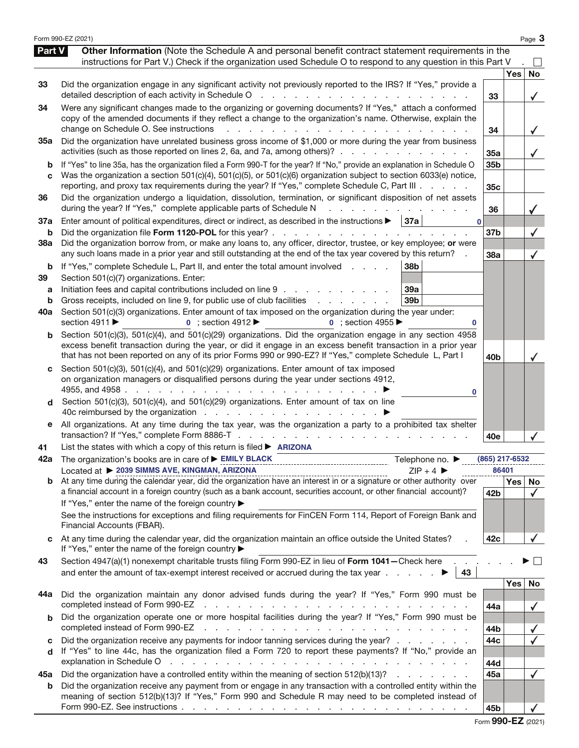|                          | Form 990-EZ (2021)                                                                                                                                                                                                                                                                                                                                                                                                                                                |                         |            | Page 3             |
|--------------------------|-------------------------------------------------------------------------------------------------------------------------------------------------------------------------------------------------------------------------------------------------------------------------------------------------------------------------------------------------------------------------------------------------------------------------------------------------------------------|-------------------------|------------|--------------------|
| Part V                   | Other Information (Note the Schedule A and personal benefit contract statement requirements in the<br>instructions for Part V.) Check if the organization used Schedule O to respond to any question in this Part V                                                                                                                                                                                                                                               |                         |            |                    |
| 33                       | Did the organization engage in any significant activity not previously reported to the IRS? If "Yes," provide a<br>detailed description of each activity in Schedule O<br>$\sim 10$<br>and the company of the state of the                                                                                                                                                                                                                                        | 33                      | <b>Yes</b> | No<br>$\checkmark$ |
| 34                       | Were any significant changes made to the organizing or governing documents? If "Yes," attach a conformed<br>copy of the amended documents if they reflect a change to the organization's name. Otherwise, explain the<br>change on Schedule O. See instructions                                                                                                                                                                                                   | 34                      |            |                    |
| 35a                      | Did the organization have unrelated business gross income of \$1,000 or more during the year from business<br>activities (such as those reported on lines 2, 6a, and 7a, among others)?                                                                                                                                                                                                                                                                           | 35a                     |            |                    |
| b<br>C                   | If "Yes" to line 35a, has the organization filed a Form 990-T for the year? If "No," provide an explanation in Schedule O<br>Was the organization a section 501(c)(4), 501(c)(5), or 501(c)(6) organization subject to section 6033(e) notice,<br>reporting, and proxy tax requirements during the year? If "Yes," complete Schedule C, Part III                                                                                                                  | 35b<br>35c              |            |                    |
| 36                       | Did the organization undergo a liquidation, dissolution, termination, or significant disposition of net assets<br>during the year? If "Yes," complete applicable parts of Schedule N                                                                                                                                                                                                                                                                              | 36                      |            |                    |
| 37a<br>b                 | Enter amount of political expenditures, direct or indirect, as described in the instructions $\blacktriangleright$   37a<br>$\bf{0}$<br>Did the organization file Form 1120-POL for this year?.<br>and a state of the state<br>$\mathbf{r}$ and $\mathbf{r}$                                                                                                                                                                                                      | 37b                     |            |                    |
| 38a                      | Did the organization borrow from, or make any loans to, any officer, director, trustee, or key employee; or were<br>any such loans made in a prior year and still outstanding at the end of the tax year covered by this return?                                                                                                                                                                                                                                  | 38a                     |            |                    |
| b<br>39<br>а<br>b<br>40a | If "Yes," complete Schedule L, Part II, and enter the total amount involved<br>38 <sub>b</sub><br>Section 501(c)(7) organizations. Enter:<br>Initiation fees and capital contributions included on line 9<br>39a<br>Gross receipts, included on line 9, for public use of club facilities<br>39b<br>and a state of the state<br>Section 501(c)(3) organizations. Enter amount of tax imposed on the organization during the year under:                           |                         |            |                    |
| b                        | section 4911 ▶<br>$\bullet$ ; section 4912<br>$\mathbf{0}$ : section 4955<br>0<br>Section 501(c)(3), 501(c)(4), and 501(c)(29) organizations. Did the organization engage in any section 4958<br>excess benefit transaction during the year, or did it engage in an excess benefit transaction in a prior year<br>that has not been reported on any of its prior Forms 990 or 990-EZ? If "Yes," complete Schedule L, Part I                                       | 40 <sub>b</sub>         |            |                    |
| C<br>d                   | Section 501(c)(3), 501(c)(4), and 501(c)(29) organizations. Enter amount of tax imposed<br>on organization managers or disqualified persons during the year under sections 4912,<br>4955, and 4958<br>0<br>Section 501(c)(3), 501(c)(4), and 501(c)(29) organizations. Enter amount of tax on line                                                                                                                                                                |                         |            |                    |
| е                        | All organizations. At any time during the tax year, was the organization a party to a prohibited tax shelter                                                                                                                                                                                                                                                                                                                                                      | 40e                     |            |                    |
| 41                       | List the states with which a copy of this return is filed $\triangleright$ ARIZONA                                                                                                                                                                                                                                                                                                                                                                                |                         |            |                    |
| 42a                      | The organization's books are in care of $\blacktriangleright$ EMILY BLACK<br>Telephone no. ▶<br>Located at ▶ 2039 SIMMS AVE, KINGMAN, ARIZONA<br>$ZIP + 4$                                                                                                                                                                                                                                                                                                        | (865) 217-6532<br>86401 |            |                    |
|                          |                                                                                                                                                                                                                                                                                                                                                                                                                                                                   |                         | Yes        | No                 |
|                          | a financial account in a foreign country (such as a bank account, securities account, or other financial account)?<br>If "Yes," enter the name of the foreign country ▶<br>See the instructions for exceptions and filing requirements for FinCEN Form 114, Report of Foreign Bank and<br>Financial Accounts (FBAR).                                                                                                                                              | 42b                     |            | $\checkmark$       |
|                          | At any time during the calendar year, did the organization maintain an office outside the United States?<br>If "Yes," enter the name of the foreign country ▶                                                                                                                                                                                                                                                                                                     | 42c                     |            |                    |
| 43                       | Section 4947(a)(1) nonexempt charitable trusts filing Form 990-EZ in lieu of Form 1041-Check here<br>and enter the amount of tax-exempt interest received or accrued during the tax year $\ldots$<br>43                                                                                                                                                                                                                                                           |                         |            |                    |
| 44a                      | Did the organization maintain any donor advised funds during the year? If "Yes," Form 990 must be<br>completed instead of Form 990-EZ<br>de la característica de la característica de la característica                                                                                                                                                                                                                                                           | 44a                     | Yes        | No                 |
| b                        | Did the organization operate one or more hospital facilities during the year? If "Yes," Form 990 must be<br>completed instead of Form 990-EZ<br>the contract of the contract of the contract of the contract of the contract of the contract of the contract of                                                                                                                                                                                                   | 44b                     |            | ✓                  |
| c<br>d                   | Did the organization receive any payments for indoor tanning services during the year?<br>If "Yes" to line 44c, has the organization filed a Form 720 to report these payments? If "No," provide an<br>explanation in Schedule O<br>and a construction of the construction of the construction of the construction of the construction of the construction of the construction of the construction of the construction of the construction of the construction of | 44c<br>44d              |            |                    |
| 45а                      | Did the organization have a controlled entity within the meaning of section 512(b)(13)?                                                                                                                                                                                                                                                                                                                                                                           | 45a                     |            | $\checkmark$       |
| b                        | Did the organization receive any payment from or engage in any transaction with a controlled entity within the<br>meaning of section 512(b)(13)? If "Yes," Form 990 and Schedule R may need to be completed instead of                                                                                                                                                                                                                                            | 45b                     |            |                    |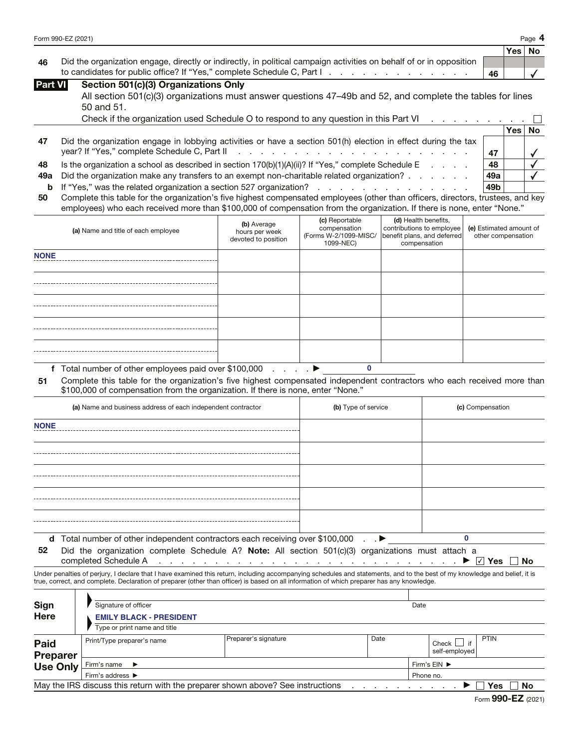|                    | Page |
|--------------------|------|
| Form 990-EZ (2021) | л.   |

|                                                                                                                        |    | Yes   No |  |
|------------------------------------------------------------------------------------------------------------------------|----|----------|--|
| 46 Did the organization engage, directly or indirectly, in political campaign activities on behalf of or in opposition |    |          |  |
|                                                                                                                        | 46 |          |  |

| <b>Part VI</b> | Section 501(c)(3) Organizations Only                                                                       |
|----------------|------------------------------------------------------------------------------------------------------------|
|                | All section 501(c)(3) organizations must answer questions 47-49b and 52, and complete the tables for lines |
|                | $50$ and $51$                                                                                              |

|     | <u>JU LIILI JI.</u>                                                                                           |     |          |  |
|-----|---------------------------------------------------------------------------------------------------------------|-----|----------|--|
|     | Check if the organization used Schedule O to respond to any question in this Part VI                          |     |          |  |
|     |                                                                                                               |     | Yes   No |  |
| 47  | Did the organization engage in lobbying activities or have a section 501(h) election in effect during the tax |     |          |  |
|     |                                                                                                               | 47  |          |  |
| 48  | Is the organization a school as described in section $170(b)(1)(A)(ii)$ ? If "Yes," complete Schedule E       | 48  |          |  |
| 49а | Did the organization make any transfers to an exempt non-charitable related organization?                     | 49а |          |  |
|     | <b>b</b> If "Yes," was the related organization a section 527 organization?                                   | 49b |          |  |
|     |                                                                                                               |     |          |  |

**50** Complete this table for the organization's five highest compensated employees (other than officers, directors, trustees, and key employees) who each received more than \$100,000 of compensation from the organization. If there is none, enter "None."

| (a) Name and title of each employee | (b) Average<br>hours per week<br>devoted to position | (c) Reportable<br>compensation<br>(Forms W-2/1099-MISC/<br>1099-NEC) | (d) Health benefits,<br>contributions to employee<br>benefit plans, and deferred<br>compensation | (e) Estimated amount of<br>other compensation |
|-------------------------------------|------------------------------------------------------|----------------------------------------------------------------------|--------------------------------------------------------------------------------------------------|-----------------------------------------------|
| <b>NONE</b>                         |                                                      |                                                                      |                                                                                                  |                                               |
|                                     |                                                      |                                                                      |                                                                                                  |                                               |
|                                     |                                                      |                                                                      |                                                                                                  |                                               |
|                                     |                                                      |                                                                      |                                                                                                  |                                               |
|                                     |                                                      |                                                                      |                                                                                                  |                                               |

**f** Total number of other employees paid over \$100,000 . . . . a

**51** Complete this table for the organization's five highest compensated independent contractors who each received more than \$100,000 of compensation from the organization. If there is none, enter "None."

**0**

| (a) Name and business address of each independent contractor                                               | (b) Type of service | (c) Compensation |
|------------------------------------------------------------------------------------------------------------|---------------------|------------------|
| <b>NONE</b>                                                                                                |                     |                  |
|                                                                                                            |                     |                  |
|                                                                                                            |                     |                  |
|                                                                                                            |                     |                  |
|                                                                                                            |                     |                  |
|                                                                                                            |                     |                  |
| <b>d</b> Total number of other independent contractors each receiving over \$100,000 $\blacksquare$        |                     |                  |
| Did the organization complete Schedule A? Note: All section $501(c)(3)$ organizations must attach a<br>52. |                     |                  |

**52** Did the organization complete Schedule A? **Note:** All section 501(c)(3) organizations must attach a

completed Schedule A ........................... a **Yes No** ✔

Under penalties of perjury, I declare that I have examined this return, including accompanying schedules and statements, and to the best of my knowledge and belief, it is true, correct, and complete. Declaration of preparer (other than officer) is based on all information of which preparer has any knowledge.

| Sign<br><b>Here</b>                                                                          | Signature of officer<br><b>EMILY BLACK - PRESIDENT</b> |                      |      | Date         |                                |             |  |
|----------------------------------------------------------------------------------------------|--------------------------------------------------------|----------------------|------|--------------|--------------------------------|-------------|--|
|                                                                                              | Type or print name and title                           |                      |      |              |                                |             |  |
| <b>Paid</b><br><b>Preparer</b>                                                               | Print/Type preparer's name                             | Preparer's signature | Date |              | if<br>Check L<br>self-employed | <b>PTIN</b> |  |
| <b>Use Only</b>                                                                              | Firm's name $\blacktriangleright$                      |                      |      | Firm's EIN ▶ |                                |             |  |
|                                                                                              | Firm's address ▶                                       | Phone no.            |      |              |                                |             |  |
| May the IRS discuss this return with the preparer shown above? See instructions<br>No<br>Yes |                                                        |                      |      |              |                                |             |  |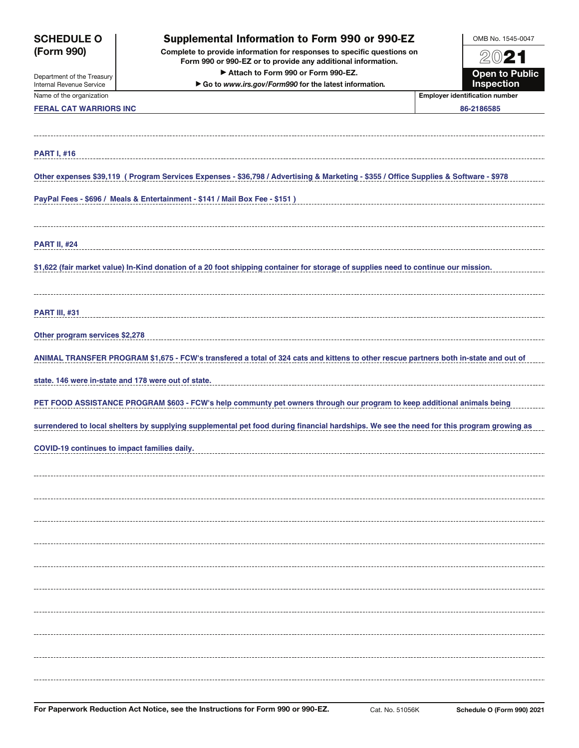| Form 990 or 990-EZ or to provide any additional information.<br>Attach to Form 990 or Form 990-EZ.<br><b>Open to Public</b><br>Department of the Treasury<br>Inspection<br>Go to www.irs.gov/Form990 for the latest information.<br><b>Employer identification number</b><br><b>FERAL CAT WARRIORS INC</b><br>86-2186585<br>Other expenses \$39,119 (Program Services Expenses - \$36,798 / Advertising & Marketing - \$355 / Office Supplies & Software - \$978<br>PayPal Fees - \$696 / Meals & Entertainment - \$141 / Mail Box Fee - \$151 )<br>\$1,622 (fair market value) In-Kind donation of a 20 foot shipping container for storage of supplies need to continue our mission.<br><b>PART III, #31</b><br>Other program services \$2,278<br>ANIMAL TRANSFER PROGRAM \$1,675 - FCW's transfered a total of 324 cats and kittens to other rescue partners both in-state and out of<br>state. 146 were in-state and 178 were out of state.<br>PET FOOD ASSISTANCE PROGRAM \$603 - FCW's help communty pet owners through our program to keep additional animals being<br>surrendered to local shelters by supplying supplemental pet food during financial hardships. We see the need for this program growing as<br>COVID-19 continues to impact families daily. | <b>SCHEDULE O</b><br><b>Supplemental Information to Form 990 or 990-EZ</b><br>(Form 990)<br>Complete to provide information for responses to specific questions on |  | OMB No. 1545-0047 |
|------------------------------------------------------------------------------------------------------------------------------------------------------------------------------------------------------------------------------------------------------------------------------------------------------------------------------------------------------------------------------------------------------------------------------------------------------------------------------------------------------------------------------------------------------------------------------------------------------------------------------------------------------------------------------------------------------------------------------------------------------------------------------------------------------------------------------------------------------------------------------------------------------------------------------------------------------------------------------------------------------------------------------------------------------------------------------------------------------------------------------------------------------------------------------------------------------------------------------------------------------------------------|--------------------------------------------------------------------------------------------------------------------------------------------------------------------|--|-------------------|
|                                                                                                                                                                                                                                                                                                                                                                                                                                                                                                                                                                                                                                                                                                                                                                                                                                                                                                                                                                                                                                                                                                                                                                                                                                                                        |                                                                                                                                                                    |  | 2021              |
|                                                                                                                                                                                                                                                                                                                                                                                                                                                                                                                                                                                                                                                                                                                                                                                                                                                                                                                                                                                                                                                                                                                                                                                                                                                                        | Internal Revenue Service                                                                                                                                           |  |                   |
|                                                                                                                                                                                                                                                                                                                                                                                                                                                                                                                                                                                                                                                                                                                                                                                                                                                                                                                                                                                                                                                                                                                                                                                                                                                                        | Name of the organization                                                                                                                                           |  |                   |
|                                                                                                                                                                                                                                                                                                                                                                                                                                                                                                                                                                                                                                                                                                                                                                                                                                                                                                                                                                                                                                                                                                                                                                                                                                                                        |                                                                                                                                                                    |  |                   |
|                                                                                                                                                                                                                                                                                                                                                                                                                                                                                                                                                                                                                                                                                                                                                                                                                                                                                                                                                                                                                                                                                                                                                                                                                                                                        |                                                                                                                                                                    |  |                   |
|                                                                                                                                                                                                                                                                                                                                                                                                                                                                                                                                                                                                                                                                                                                                                                                                                                                                                                                                                                                                                                                                                                                                                                                                                                                                        | <b>PART I, #16</b>                                                                                                                                                 |  |                   |
|                                                                                                                                                                                                                                                                                                                                                                                                                                                                                                                                                                                                                                                                                                                                                                                                                                                                                                                                                                                                                                                                                                                                                                                                                                                                        |                                                                                                                                                                    |  |                   |
|                                                                                                                                                                                                                                                                                                                                                                                                                                                                                                                                                                                                                                                                                                                                                                                                                                                                                                                                                                                                                                                                                                                                                                                                                                                                        |                                                                                                                                                                    |  |                   |
|                                                                                                                                                                                                                                                                                                                                                                                                                                                                                                                                                                                                                                                                                                                                                                                                                                                                                                                                                                                                                                                                                                                                                                                                                                                                        |                                                                                                                                                                    |  |                   |
|                                                                                                                                                                                                                                                                                                                                                                                                                                                                                                                                                                                                                                                                                                                                                                                                                                                                                                                                                                                                                                                                                                                                                                                                                                                                        |                                                                                                                                                                    |  |                   |
|                                                                                                                                                                                                                                                                                                                                                                                                                                                                                                                                                                                                                                                                                                                                                                                                                                                                                                                                                                                                                                                                                                                                                                                                                                                                        | <b>PART II, #24</b>                                                                                                                                                |  |                   |
|                                                                                                                                                                                                                                                                                                                                                                                                                                                                                                                                                                                                                                                                                                                                                                                                                                                                                                                                                                                                                                                                                                                                                                                                                                                                        |                                                                                                                                                                    |  |                   |
|                                                                                                                                                                                                                                                                                                                                                                                                                                                                                                                                                                                                                                                                                                                                                                                                                                                                                                                                                                                                                                                                                                                                                                                                                                                                        |                                                                                                                                                                    |  |                   |
|                                                                                                                                                                                                                                                                                                                                                                                                                                                                                                                                                                                                                                                                                                                                                                                                                                                                                                                                                                                                                                                                                                                                                                                                                                                                        |                                                                                                                                                                    |  |                   |
|                                                                                                                                                                                                                                                                                                                                                                                                                                                                                                                                                                                                                                                                                                                                                                                                                                                                                                                                                                                                                                                                                                                                                                                                                                                                        |                                                                                                                                                                    |  |                   |
|                                                                                                                                                                                                                                                                                                                                                                                                                                                                                                                                                                                                                                                                                                                                                                                                                                                                                                                                                                                                                                                                                                                                                                                                                                                                        |                                                                                                                                                                    |  |                   |
|                                                                                                                                                                                                                                                                                                                                                                                                                                                                                                                                                                                                                                                                                                                                                                                                                                                                                                                                                                                                                                                                                                                                                                                                                                                                        |                                                                                                                                                                    |  |                   |
|                                                                                                                                                                                                                                                                                                                                                                                                                                                                                                                                                                                                                                                                                                                                                                                                                                                                                                                                                                                                                                                                                                                                                                                                                                                                        |                                                                                                                                                                    |  |                   |
|                                                                                                                                                                                                                                                                                                                                                                                                                                                                                                                                                                                                                                                                                                                                                                                                                                                                                                                                                                                                                                                                                                                                                                                                                                                                        |                                                                                                                                                                    |  |                   |
|                                                                                                                                                                                                                                                                                                                                                                                                                                                                                                                                                                                                                                                                                                                                                                                                                                                                                                                                                                                                                                                                                                                                                                                                                                                                        |                                                                                                                                                                    |  |                   |
|                                                                                                                                                                                                                                                                                                                                                                                                                                                                                                                                                                                                                                                                                                                                                                                                                                                                                                                                                                                                                                                                                                                                                                                                                                                                        |                                                                                                                                                                    |  |                   |
|                                                                                                                                                                                                                                                                                                                                                                                                                                                                                                                                                                                                                                                                                                                                                                                                                                                                                                                                                                                                                                                                                                                                                                                                                                                                        |                                                                                                                                                                    |  |                   |
|                                                                                                                                                                                                                                                                                                                                                                                                                                                                                                                                                                                                                                                                                                                                                                                                                                                                                                                                                                                                                                                                                                                                                                                                                                                                        |                                                                                                                                                                    |  |                   |
|                                                                                                                                                                                                                                                                                                                                                                                                                                                                                                                                                                                                                                                                                                                                                                                                                                                                                                                                                                                                                                                                                                                                                                                                                                                                        |                                                                                                                                                                    |  |                   |
|                                                                                                                                                                                                                                                                                                                                                                                                                                                                                                                                                                                                                                                                                                                                                                                                                                                                                                                                                                                                                                                                                                                                                                                                                                                                        |                                                                                                                                                                    |  |                   |
|                                                                                                                                                                                                                                                                                                                                                                                                                                                                                                                                                                                                                                                                                                                                                                                                                                                                                                                                                                                                                                                                                                                                                                                                                                                                        |                                                                                                                                                                    |  |                   |
|                                                                                                                                                                                                                                                                                                                                                                                                                                                                                                                                                                                                                                                                                                                                                                                                                                                                                                                                                                                                                                                                                                                                                                                                                                                                        |                                                                                                                                                                    |  |                   |
|                                                                                                                                                                                                                                                                                                                                                                                                                                                                                                                                                                                                                                                                                                                                                                                                                                                                                                                                                                                                                                                                                                                                                                                                                                                                        |                                                                                                                                                                    |  |                   |
|                                                                                                                                                                                                                                                                                                                                                                                                                                                                                                                                                                                                                                                                                                                                                                                                                                                                                                                                                                                                                                                                                                                                                                                                                                                                        |                                                                                                                                                                    |  |                   |
|                                                                                                                                                                                                                                                                                                                                                                                                                                                                                                                                                                                                                                                                                                                                                                                                                                                                                                                                                                                                                                                                                                                                                                                                                                                                        |                                                                                                                                                                    |  |                   |
|                                                                                                                                                                                                                                                                                                                                                                                                                                                                                                                                                                                                                                                                                                                                                                                                                                                                                                                                                                                                                                                                                                                                                                                                                                                                        |                                                                                                                                                                    |  |                   |
|                                                                                                                                                                                                                                                                                                                                                                                                                                                                                                                                                                                                                                                                                                                                                                                                                                                                                                                                                                                                                                                                                                                                                                                                                                                                        |                                                                                                                                                                    |  |                   |
|                                                                                                                                                                                                                                                                                                                                                                                                                                                                                                                                                                                                                                                                                                                                                                                                                                                                                                                                                                                                                                                                                                                                                                                                                                                                        |                                                                                                                                                                    |  |                   |
|                                                                                                                                                                                                                                                                                                                                                                                                                                                                                                                                                                                                                                                                                                                                                                                                                                                                                                                                                                                                                                                                                                                                                                                                                                                                        |                                                                                                                                                                    |  |                   |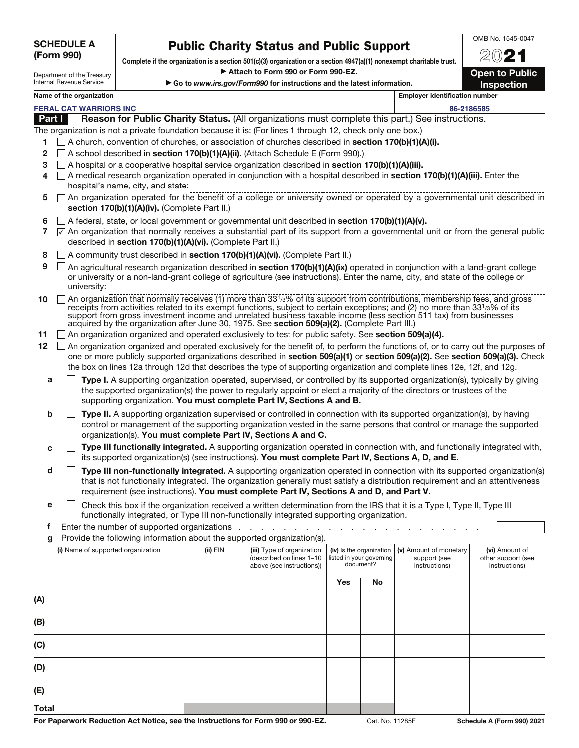| <b>SCHEDULE A</b> |  |
|-------------------|--|
| (Form 990)        |  |

OMB No. 1545-0047

| Department of the Treasury |
|----------------------------|
|                            |
| Internal Revenue Service   |
|                            |

**Public Charity Status and Public Support Complete if the organization is a section 501(c)(3) organization or a section 4947(a)(1) nonexempt charitable trust.** a **Attach to Form 990 or Form 990-EZ.** 

▶ Go to *www.irs.gov/Form990* for instructions and the latest information.

20**21 Open to Public Inspection**

## **Name of the organization Employer identification number**

**FERAL CAT WARRIORS INC 86-2186585**

| <b>Part I</b> |  |  | <b>Reason for Public Charity Status.</b> (All organizations must complete this part.) See instructions. |  |  |
|---------------|--|--|---------------------------------------------------------------------------------------------------------|--|--|
|---------------|--|--|---------------------------------------------------------------------------------------------------------|--|--|

The organization is not a private foundation because it is: (For lines 1 through 12, check only one box.)

- **1** A church, convention of churches, or association of churches described in **section 170(b)(1)(A)(i).**
- **2** A school described in **section 170(b)(1)(A)(ii).** (Attach Schedule E (Form 990).)
- **3** A hospital or a cooperative hospital service organization described in **section 170(b)(1)(A)(iii).**
- **4** A medical research organization operated in conjunction with a hospital described in **section 170(b)(1)(A)(iii).** Enter the hospital's name, city, and state:
- **5**  $\Box$  An organization operated for the benefit of a college or university owned or operated by a governmental unit described in **section 170(b)(1)(A)(iv).** (Complete Part II.)
- **6** A federal, state, or local government or governmental unit described in **section 170(b)(1)(A)(v).**
- 7  $\sqrt{2}$  An organization that normally receives a substantial part of its support from a governmental unit or from the general public described in **section 170(b)(1)(A)(vi).** (Complete Part II.)
- **8** □ A community trust described in **section 170(b)(1)(A)(vi).** (Complete Part II.)
- **9** □ An agricultural research organization described in **section 170(b)(1)(A)(ix)** operated in conjunction with a land-grant college or university or a non-land-grant college of agriculture (see instructions). Enter the name, city, and state of the college or university:
- 10 **10** An organization that normally receives (1) more than 33<sup>1</sup>/3% of its support from contributions, membership fees, and gross receipts from activities related to its exempt functions, subject to certain exceptions; and (2) no more than 331/3% of its support from gross investment income and unrelated business taxable income (less section 511 tax) from businesses acquired by the organization after June 30, 1975. See **section 509(a)(2).** (Complete Part III.)
- **11** An organization organized and operated exclusively to test for public safety. See **section 509(a)(4).**
- 12 An organization organized and operated exclusively for the benefit of, to perform the functions of, or to carry out the purposes of one or more publicly supported organizations described in **section 509(a)(1)** or **section 509(a)(2).** See **section 509(a)(3).** Check the box on lines 12a through 12d that describes the type of supporting organization and complete lines 12e, 12f, and 12g.
	- **a Type I.** A supporting organization operated, supervised, or controlled by its supported organization(s), typically by giving the supported organization(s) the power to regularly appoint or elect a majority of the directors or trustees of the supporting organization. **You must complete Part IV, Sections A and B.**
	- **b Type II.** A supporting organization supervised or controlled in connection with its supported organization(s), by having control or management of the supporting organization vested in the same persons that control or manage the supported organization(s). **You must complete Part IV, Sections A and C.**
	- **c**  $\Box$  **Type III functionally integrated.** A supporting organization operated in connection with, and functionally integrated with, its supported organization(s) (see instructions). **You must complete Part IV, Sections A, D, and E.**
	- **d Type III non-functionally integrated.** A supporting organization operated in connection with its supported organization(s) that is not functionally integrated. The organization generally must satisfy a distribution requirement and an attentiveness requirement (see instructions). **You must complete Part IV, Sections A and D, and Part V.**
	- **e**  $\Box$  Check this box if the organization received a written determination from the IRS that it is a Type I, Type II, Type III functionally integrated, or Type III non-functionally integrated supporting organization.
	- **f** Enter the number of supported organizations . . . . .
	- **g** Provide the following information about the supported organization(s).

| J.                                 |            |                                                                                     |                                                                   |    |                                                         |                                                       |
|------------------------------------|------------|-------------------------------------------------------------------------------------|-------------------------------------------------------------------|----|---------------------------------------------------------|-------------------------------------------------------|
| (i) Name of supported organization | $(ii)$ EIN | (iii) Type of organization<br>(described on lines 1-10<br>above (see instructions)) | (iv) Is the organization<br>listed in your governing<br>document? |    | (v) Amount of monetary<br>support (see<br>instructions) | (vi) Amount of<br>other support (see<br>instructions) |
|                                    |            |                                                                                     | Yes                                                               | No |                                                         |                                                       |
| (A)                                |            |                                                                                     |                                                                   |    |                                                         |                                                       |
| (B)                                |            |                                                                                     |                                                                   |    |                                                         |                                                       |
| (C)                                |            |                                                                                     |                                                                   |    |                                                         |                                                       |
| (D)                                |            |                                                                                     |                                                                   |    |                                                         |                                                       |
| (E)                                |            |                                                                                     |                                                                   |    |                                                         |                                                       |
| <b>Total</b>                       |            |                                                                                     |                                                                   |    |                                                         |                                                       |